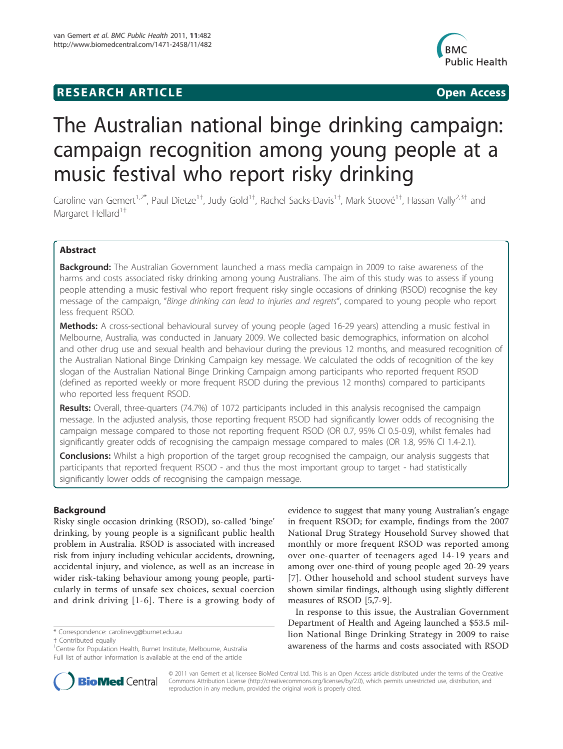# **RESEARCH ARTICLE Example 2018 CONSIDERING ACCESS**



# The Australian national binge drinking campaign: campaign recognition among young people at a music festival who report risky drinking

Caroline van Gemert<sup>1,2\*</sup>, Paul Dietze<sup>1†</sup>, Judy Gold<sup>1†</sup>, Rachel Sacks-Davis<sup>1†</sup>, Mark Stoové<sup>1†</sup>, Hassan Vally<sup>2,3†</sup> and Margaret Hellard<sup>1†</sup>

# Abstract

**Background:** The Australian Government launched a mass media campaign in 2009 to raise awareness of the harms and costs associated risky drinking among young Australians. The aim of this study was to assess if young people attending a music festival who report frequent risky single occasions of drinking (RSOD) recognise the key message of the campaign, "Binge drinking can lead to injuries and regrets", compared to young people who report less frequent RSOD.

Methods: A cross-sectional behavioural survey of young people (aged 16-29 years) attending a music festival in Melbourne, Australia, was conducted in January 2009. We collected basic demographics, information on alcohol and other drug use and sexual health and behaviour during the previous 12 months, and measured recognition of the Australian National Binge Drinking Campaign key message. We calculated the odds of recognition of the key slogan of the Australian National Binge Drinking Campaign among participants who reported frequent RSOD (defined as reported weekly or more frequent RSOD during the previous 12 months) compared to participants who reported less frequent RSOD.

Results: Overall, three-quarters (74.7%) of 1072 participants included in this analysis recognised the campaign message. In the adjusted analysis, those reporting frequent RSOD had significantly lower odds of recognising the campaign message compared to those not reporting frequent RSOD (OR 0.7, 95% CI 0.5-0.9), whilst females had significantly greater odds of recognising the campaign message compared to males (OR 1.8, 95% CI 1.4-2.1).

**Conclusions:** Whilst a high proportion of the target group recognised the campaign, our analysis suggests that participants that reported frequent RSOD - and thus the most important group to target - had statistically significantly lower odds of recognising the campaign message.

# Background

Risky single occasion drinking (RSOD), so-called 'binge' drinking, by young people is a significant public health problem in Australia. RSOD is associated with increased risk from injury including vehicular accidents, drowning, accidental injury, and violence, as well as an increase in wider risk-taking behaviour among young people, particularly in terms of unsafe sex choices, sexual coercion and drink driving [[1](#page-6-0)-[6\]](#page-6-0). There is a growing body of

† Contributed equally <sup>1</sup>



In response to this issue, the Australian Government Department of Health and Ageing launched a \$53.5 million National Binge Drinking Strategy in 2009 to raise awareness of the harms and costs associated with RSOD



© 2011 van Gemert et al; licensee BioMed Central Ltd. This is an Open Access article distributed under the terms of the Creative Commons Attribution License [\(http://creativecommons.org/licenses/by/2.0](http://creativecommons.org/licenses/by/2.0)), which permits unrestricted use, distribution, and reproduction in any medium, provided the original work is properly cited.

<sup>\*</sup> Correspondence: [carolinevg@burnet.edu.au](mailto:carolinevg@burnet.edu.au)

<sup>&</sup>lt;sup>1</sup>Centre for Population Health, Burnet Institute, Melbourne, Australia Full list of author information is available at the end of the article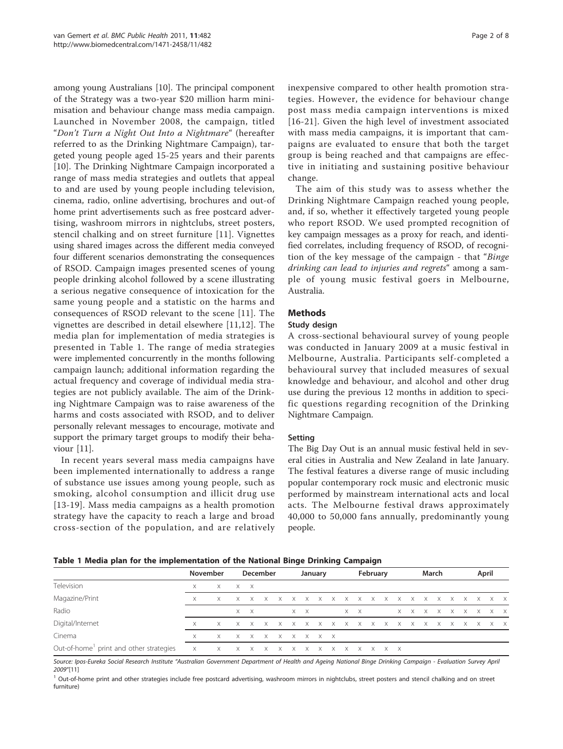<span id="page-1-0"></span>among young Australians [[10\]](#page-6-0). The principal component of the Strategy was a two-year \$20 million harm minimisation and behaviour change mass media campaign. Launched in November 2008, the campaign, titled "Don't Turn a Night Out Into a Nightmare" (hereafter referred to as the Drinking Nightmare Campaign), targeted young people aged 15-25 years and their parents [[10\]](#page-6-0). The Drinking Nightmare Campaign incorporated a range of mass media strategies and outlets that appeal to and are used by young people including television, cinema, radio, online advertising, brochures and out-of home print advertisements such as free postcard advertising, washroom mirrors in nightclubs, street posters, stencil chalking and on street furniture [[11\]](#page-6-0). Vignettes using shared images across the different media conveyed four different scenarios demonstrating the consequences of RSOD. Campaign images presented scenes of young people drinking alcohol followed by a scene illustrating a serious negative consequence of intoxication for the same young people and a statistic on the harms and consequences of RSOD relevant to the scene [[11](#page-6-0)]. The vignettes are described in detail elsewhere [[11,12](#page-6-0)]. The media plan for implementation of media strategies is presented in Table 1. The range of media strategies were implemented concurrently in the months following campaign launch; additional information regarding the actual frequency and coverage of individual media strategies are not publicly available. The aim of the Drinking Nightmare Campaign was to raise awareness of the harms and costs associated with RSOD, and to deliver personally relevant messages to encourage, motivate and support the primary target groups to modify their behaviour [\[11\]](#page-6-0).

In recent years several mass media campaigns have been implemented internationally to address a range of substance use issues among young people, such as smoking, alcohol consumption and illicit drug use [[13](#page-6-0)-[19](#page-7-0)]. Mass media campaigns as a health promotion strategy have the capacity to reach a large and broad cross-section of the population, and are relatively inexpensive compared to other health promotion strategies. However, the evidence for behaviour change post mass media campaign interventions is mixed [[16](#page-6-0)-[21](#page-7-0)]. Given the high level of investment associated with mass media campaigns, it is important that campaigns are evaluated to ensure that both the target group is being reached and that campaigns are effective in initiating and sustaining positive behaviour change.

The aim of this study was to assess whether the Drinking Nightmare Campaign reached young people, and, if so, whether it effectively targeted young people who report RSOD. We used prompted recognition of key campaign messages as a proxy for reach, and identified correlates, including frequency of RSOD, of recognition of the key message of the campaign - that "Binge drinking can lead to injuries and regrets" among a sample of young music festival goers in Melbourne, Australia.

# Methods

#### Study design

A cross-sectional behavioural survey of young people was conducted in January 2009 at a music festival in Melbourne, Australia. Participants self-completed a behavioural survey that included measures of sexual knowledge and behaviour, and alcohol and other drug use during the previous 12 months in addition to specific questions regarding recognition of the Drinking Nightmare Campaign.

# Setting

The Big Day Out is an annual music festival held in several cities in Australia and New Zealand in late January. The festival features a diverse range of music including popular contemporary rock music and electronic music performed by mainstream international acts and local acts. The Melbourne festival draws approximately 40,000 to 50,000 fans annually, predominantly young people.

#### Table 1 Media plan for the implementation of the National Binge Drinking Campaign

|                                                     | November |          |              | <b>December</b>                 |  |  |  |     | January |  |  |     | February |  |  |  | March |  |  |  | April                           |  |
|-----------------------------------------------------|----------|----------|--------------|---------------------------------|--|--|--|-----|---------|--|--|-----|----------|--|--|--|-------|--|--|--|---------------------------------|--|
| Television                                          | $\times$ |          | $X \times X$ |                                 |  |  |  |     |         |  |  |     |          |  |  |  |       |  |  |  |                                 |  |
| Magazine/Print                                      |          | X        |              |                                 |  |  |  |     |         |  |  |     |          |  |  |  |       |  |  |  |                                 |  |
| Radio                                               |          |          | $\times$     | $\mathsf{X}$                    |  |  |  | X X |         |  |  | X X |          |  |  |  |       |  |  |  | $X$ $X$ $X$ $X$ $X$ $X$ $X$ $X$ |  |
| Digital/Internet                                    |          | X        |              |                                 |  |  |  |     |         |  |  |     |          |  |  |  |       |  |  |  |                                 |  |
| Cinema                                              | X        | $\times$ |              | $X$ $X$ $X$ $X$ $X$ $X$ $X$ $X$ |  |  |  |     |         |  |  |     |          |  |  |  |       |  |  |  |                                 |  |
| Out-of-home <sup>1</sup> print and other strategies | $\times$ | $\times$ |              | x x x x x x x x x x x x x       |  |  |  |     |         |  |  |     |          |  |  |  |       |  |  |  |                                 |  |

Source: Ipos-Eureka Social Research Institute "Australian Government Department of Health and Ageing National Binge Drinking Campaign - Evaluation Survey April 2009"[[11\]](#page-6-0)

<sup>1</sup> Out-of-home print and other strategies include free postcard advertising, washroom mirrors in nightclubs, street posters and stencil chalking and on street furniture)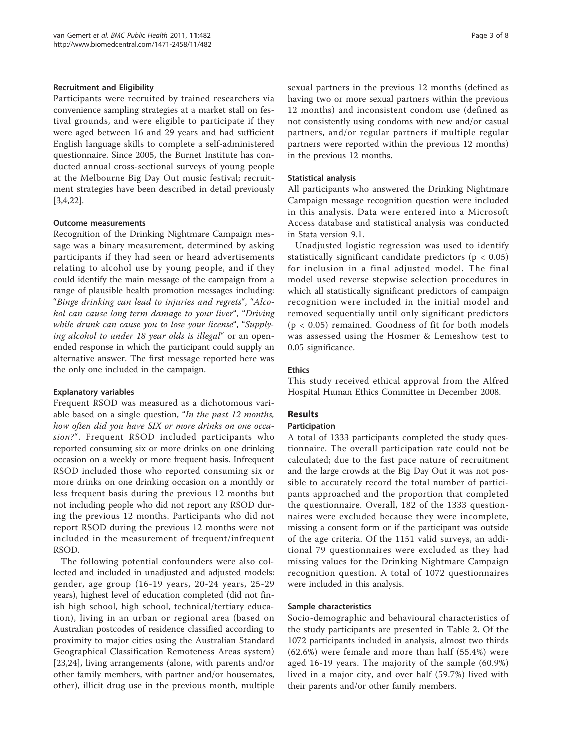#### Recruitment and Eligibility

Participants were recruited by trained researchers via convenience sampling strategies at a market stall on festival grounds, and were eligible to participate if they were aged between 16 and 29 years and had sufficient English language skills to complete a self-administered questionnaire. Since 2005, the Burnet Institute has conducted annual cross-sectional surveys of young people at the Melbourne Big Day Out music festival; recruitment strategies have been described in detail previously [[3,4,](#page-6-0)[22\]](#page-7-0).

### Outcome measurements

Recognition of the Drinking Nightmare Campaign message was a binary measurement, determined by asking participants if they had seen or heard advertisements relating to alcohol use by young people, and if they could identify the main message of the campaign from a range of plausible health promotion messages including: "Binge drinking can lead to injuries and regrets", "Alcohol can cause long term damage to your liver", "Driving while drunk can cause you to lose your license", "Supplying alcohol to under 18 year olds is illegal" or an openended response in which the participant could supply an alternative answer. The first message reported here was the only one included in the campaign.

# Explanatory variables

Frequent RSOD was measured as a dichotomous variable based on a single question, "In the past 12 months, how often did you have SIX or more drinks on one occasion?". Frequent RSOD included participants who reported consuming six or more drinks on one drinking occasion on a weekly or more frequent basis. Infrequent RSOD included those who reported consuming six or more drinks on one drinking occasion on a monthly or less frequent basis during the previous 12 months but not including people who did not report any RSOD during the previous 12 months. Participants who did not report RSOD during the previous 12 months were not included in the measurement of frequent/infrequent RSOD.

The following potential confounders were also collected and included in unadjusted and adjusted models: gender, age group (16-19 years, 20-24 years, 25-29 years), highest level of education completed (did not finish high school, high school, technical/tertiary education), living in an urban or regional area (based on Australian postcodes of residence classified according to proximity to major cities using the Australian Standard Geographical Classification Remoteness Areas system) [[23,24\]](#page-7-0), living arrangements (alone, with parents and/or other family members, with partner and/or housemates, other), illicit drug use in the previous month, multiple sexual partners in the previous 12 months (defined as having two or more sexual partners within the previous 12 months) and inconsistent condom use (defined as not consistently using condoms with new and/or casual partners, and/or regular partners if multiple regular partners were reported within the previous 12 months) in the previous 12 months.

## Statistical analysis

All participants who answered the Drinking Nightmare Campaign message recognition question were included in this analysis. Data were entered into a Microsoft Access database and statistical analysis was conducted in Stata version 9.1.

Unadjusted logistic regression was used to identify statistically significant candidate predictors ( $p < 0.05$ ) for inclusion in a final adjusted model. The final model used reverse stepwise selection procedures in which all statistically significant predictors of campaign recognition were included in the initial model and removed sequentially until only significant predictors  $(p < 0.05)$  remained. Goodness of fit for both models was assessed using the Hosmer & Lemeshow test to 0.05 significance.

# Ethics

This study received ethical approval from the Alfred Hospital Human Ethics Committee in December 2008.

# Results

#### Participation

A total of 1333 participants completed the study questionnaire. The overall participation rate could not be calculated; due to the fast pace nature of recruitment and the large crowds at the Big Day Out it was not possible to accurately record the total number of participants approached and the proportion that completed the questionnaire. Overall, 182 of the 1333 questionnaires were excluded because they were incomplete, missing a consent form or if the participant was outside of the age criteria. Of the 1151 valid surveys, an additional 79 questionnaires were excluded as they had missing values for the Drinking Nightmare Campaign recognition question. A total of 1072 questionnaires were included in this analysis.

#### Sample characteristics

Socio-demographic and behavioural characteristics of the study participants are presented in Table [2](#page-3-0). Of the 1072 participants included in analysis, almost two thirds (62.6%) were female and more than half (55.4%) were aged 16-19 years. The majority of the sample (60.9%) lived in a major city, and over half (59.7%) lived with their parents and/or other family members.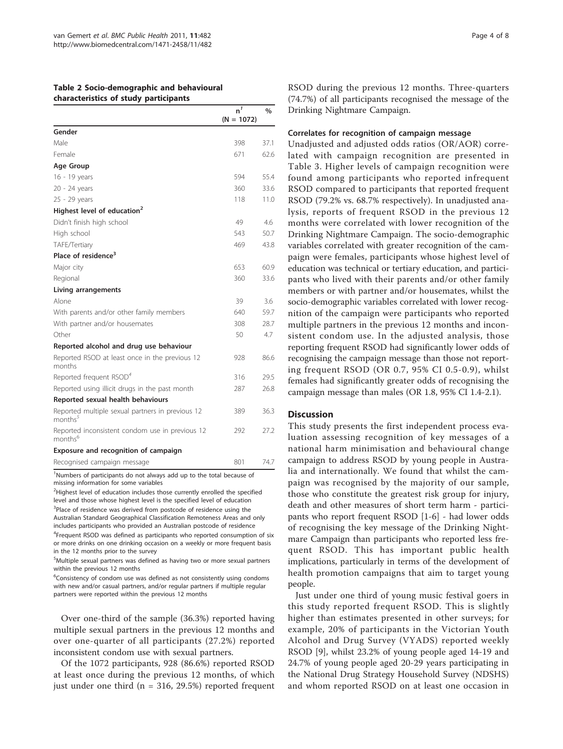<span id="page-3-0"></span>Table 2 Socio-demographic and behavioural characteristics of study participants

|                                                                         | $n^{\hat{i}}$<br>$(N = 1072)$ | $\%$ |
|-------------------------------------------------------------------------|-------------------------------|------|
| Gender                                                                  |                               |      |
| Male                                                                    | 398                           | 37.1 |
| Female                                                                  | 671                           | 62.6 |
| Age Group                                                               |                               |      |
| 16 - 19 years                                                           | 594                           | 55.4 |
| 20 - 24 years                                                           | 360                           | 33.6 |
| 25 - 29 years                                                           | 118                           | 11.0 |
| Highest level of education <sup>2</sup>                                 |                               |      |
| Didn't finish high school                                               | 49                            | 4.6  |
| High school                                                             | 543                           | 50.7 |
| TAFE/Tertiary                                                           | 469                           | 43.8 |
| Place of residence <sup>3</sup>                                         |                               |      |
| Major city                                                              | 653                           | 60.9 |
| Regional                                                                | 360                           | 33.6 |
| Living arrangements                                                     |                               |      |
| Alone                                                                   | 39                            | 3.6  |
| With parents and/or other family members                                | 640                           | 59.7 |
| With partner and/or housemates                                          | 308                           | 28.7 |
| Other                                                                   | 50                            | 4.7  |
| Reported alcohol and drug use behaviour                                 |                               |      |
| Reported RSOD at least once in the previous 12<br>months                | 928                           | 86.6 |
| Reported frequent RSOD <sup>4</sup>                                     | 316                           | 29.5 |
| Reported using illicit drugs in the past month                          | 287                           | 26.8 |
| Reported sexual health behaviours                                       |                               |      |
| Reported multiple sexual partners in previous 12<br>months <sup>5</sup> | 389                           | 36.3 |
| Reported inconsistent condom use in previous 12<br>months <sup>6</sup>  | 292                           | 27.2 |
| Exposure and recognition of campaign                                    |                               |      |
| Recognised campaign message                                             | 801                           | 74.7 |

<sup>1</sup>Numbers of participants do not always add up to the total because of missing information for some variables

<sup>2</sup>Highest level of education includes those currently enrolled the specified level and those whose highest level is the specified level of education <sup>3</sup>Place of residence was derived from postcode of residence using the Australian Standard Geographical Classification Remoteness Areas and only includes participants who provided an Australian postcode of residence <sup>4</sup>Frequent RSOD was defined as participants who reported consumption of six or more drinks on one drinking occasion on a weekly or more frequent basis in the 12 months prior to the survey

5 Multiple sexual partners was defined as having two or more sexual partners within the previous 12 months

<sup>6</sup>Consistency of condom use was defined as not consistently using condoms with new and/or casual partners, and/or regular partners if multiple regular partners were reported within the previous 12 months

Over one-third of the sample (36.3%) reported having multiple sexual partners in the previous 12 months and over one-quarter of all participants (27.2%) reported inconsistent condom use with sexual partners.

Of the 1072 participants, 928 (86.6%) reported RSOD at least once during the previous 12 months, of which just under one third ( $n = 316, 29.5\%$ ) reported frequent RSOD during the previous 12 months. Three-quarters (74.7%) of all participants recognised the message of the Drinking Nightmare Campaign.

#### Correlates for recognition of campaign message

Unadjusted and adjusted odds ratios (OR/AOR) correlated with campaign recognition are presented in Table [3](#page-4-0). Higher levels of campaign recognition were found among participants who reported infrequent RSOD compared to participants that reported frequent RSOD (79.2% vs. 68.7% respectively). In unadjusted analysis, reports of frequent RSOD in the previous 12 months were correlated with lower recognition of the Drinking Nightmare Campaign. The socio-demographic variables correlated with greater recognition of the campaign were females, participants whose highest level of education was technical or tertiary education, and participants who lived with their parents and/or other family members or with partner and/or housemates, whilst the socio-demographic variables correlated with lower recognition of the campaign were participants who reported multiple partners in the previous 12 months and inconsistent condom use. In the adjusted analysis, those reporting frequent RSOD had significantly lower odds of recognising the campaign message than those not reporting frequent RSOD (OR 0.7, 95% CI 0.5-0.9), whilst females had significantly greater odds of recognising the campaign message than males (OR 1.8, 95% CI 1.4-2.1).

#### **Discussion**

This study presents the first independent process evaluation assessing recognition of key messages of a national harm minimisation and behavioural change campaign to address RSOD by young people in Australia and internationally. We found that whilst the campaign was recognised by the majority of our sample, those who constitute the greatest risk group for injury, death and other measures of short term harm - participants who report frequent RSOD [[1-6](#page-6-0)] - had lower odds of recognising the key message of the Drinking Nightmare Campaign than participants who reported less frequent RSOD. This has important public health implications, particularly in terms of the development of health promotion campaigns that aim to target young people.

Just under one third of young music festival goers in this study reported frequent RSOD. This is slightly higher than estimates presented in other surveys; for example, 20% of participants in the Victorian Youth Alcohol and Drug Survey (VYADS) reported weekly RSOD [\[9\]](#page-6-0), whilst 23.2% of young people aged 14-19 and 24.7% of young people aged 20-29 years participating in the National Drug Strategy Household Survey (NDSHS) and whom reported RSOD on at least one occasion in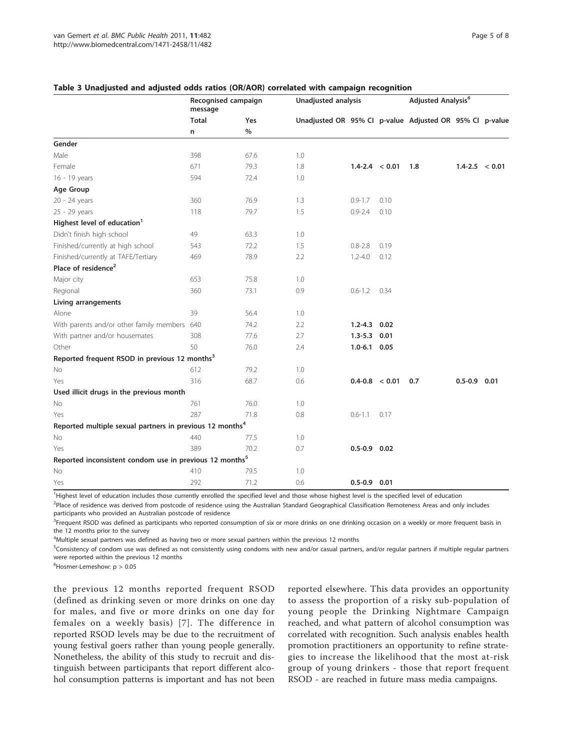|                                                                      | message      | Recognised campaign | <b>Unadjusted analysis</b>                              |                    |                    | Adjusted Analysis <sup>6</sup> |                  |                    |
|----------------------------------------------------------------------|--------------|---------------------|---------------------------------------------------------|--------------------|--------------------|--------------------------------|------------------|--------------------|
|                                                                      | <b>Total</b> | Yes                 | Unadjusted OR 95% CI p-value Adjusted OR 95% CI p-value |                    |                    |                                |                  |                    |
|                                                                      | n            | $\%$                |                                                         |                    |                    |                                |                  |                    |
| Gender                                                               |              |                     |                                                         |                    |                    |                                |                  |                    |
| Male                                                                 | 398          | 67.6                | 1.0                                                     |                    |                    |                                |                  |                    |
| Female                                                               | 671          | 79.3                | 1.8                                                     |                    | $1.4 - 2.4 < 0.01$ | 1.8                            |                  | $1.4 - 2.5 < 0.01$ |
| 16 - 19 years                                                        | 594          | 72.4                | 1.0                                                     |                    |                    |                                |                  |                    |
| Age Group                                                            |              |                     |                                                         |                    |                    |                                |                  |                    |
| 20 - 24 years                                                        | 360          | 76.9                | 1.3                                                     | $0.9 - 1.7$        | 0.10               |                                |                  |                    |
| 25 - 29 years                                                        | 118          | 79.7                | 1.5                                                     | $0.9 - 2.4$        | 0.10               |                                |                  |                    |
| Highest level of education <sup>1</sup>                              |              |                     |                                                         |                    |                    |                                |                  |                    |
| Didn't finish high school                                            | 49           | 63.3                | 1.0                                                     |                    |                    |                                |                  |                    |
| Finished/currently at high school                                    | 543          | 72.2                | 1.5                                                     | $0.8 - 2.8$        | 0.19               |                                |                  |                    |
| Finished/currently at TAFE/Tertiary                                  | 469          | 78.9                | 2.2                                                     | $1.2 - 4.0$        | 0.12               |                                |                  |                    |
| Place of residence <sup>2</sup>                                      |              |                     |                                                         |                    |                    |                                |                  |                    |
| Major city                                                           | 653          | 75.8                | 1.0                                                     |                    |                    |                                |                  |                    |
| Regional                                                             | 360          | 73.1                | 0.9                                                     | $0.6 - 1.2$        | 0.34               |                                |                  |                    |
| Living arrangements                                                  |              |                     |                                                         |                    |                    |                                |                  |                    |
| Alone                                                                | 39           | 56.4                | 1.0                                                     |                    |                    |                                |                  |                    |
| With parents and/or other family members 640                         |              | 74.2                | 2.2                                                     | $1.2 - 4.3$ 0.02   |                    |                                |                  |                    |
| With partner and/or housemates                                       | 308          | 77.6                | 2.7                                                     | $1.3 - 5.3$ 0.01   |                    |                                |                  |                    |
| Other                                                                | 50           | 76.0                | 2.4                                                     | $1.0 - 6.1$ 0.05   |                    |                                |                  |                    |
| Reported frequent RSOD in previous 12 months <sup>3</sup>            |              |                     |                                                         |                    |                    |                                |                  |                    |
| No                                                                   | 612          | 79.2                | 1.0                                                     |                    |                    |                                |                  |                    |
| Yes                                                                  | 316          | 68.7                | 0.6                                                     | $0.4 - 0.8 < 0.01$ |                    | 0.7                            | $0.5 - 0.9$ 0.01 |                    |
| Used illicit drugs in the previous month                             |              |                     |                                                         |                    |                    |                                |                  |                    |
| No                                                                   | 761          | 76.0                | 1.0                                                     |                    |                    |                                |                  |                    |
| Yes                                                                  | 287          | 71.8                | 0.8                                                     | $0.6 - 1.1$        | 0.17               |                                |                  |                    |
| Reported multiple sexual partners in previous 12 months <sup>4</sup> |              |                     |                                                         |                    |                    |                                |                  |                    |
| No                                                                   | 440          | 77.5                | 1.0                                                     |                    |                    |                                |                  |                    |
| Yes                                                                  | 389          | 70.2                | 0.7                                                     | $0.5 - 0.9$ 0.02   |                    |                                |                  |                    |
| Reported inconsistent condom use in previous 12 months <sup>5</sup>  |              |                     |                                                         |                    |                    |                                |                  |                    |
| No                                                                   | 410          | 79.5                | 1.0                                                     |                    |                    |                                |                  |                    |
| Yes                                                                  | 292          | 71.2                | 0.6                                                     | $0.5 - 0.9$ 0.01   |                    |                                |                  |                    |

#### <span id="page-4-0"></span>Table 3 Unadjusted and adjusted odds ratios (OR/AOR) correlated with campaign recognition

<sup>1</sup>Highest level of education includes those currently enrolled the specified level and those whose highest level is the specified level of education <sup>2</sup>Place of residence was derived from postcode of residence using the Australian Standard Geographical Classification Remoteness Areas and only includes participants who provided an Australian postcode of residence

<sup>3</sup>Frequent RSOD was defined as participants who reported consumption of six or more drinks on one drinking occasion on a weekly or more frequent basis in the 12 months prior to the survey

 $^4$ Multiple sexual partners was defined as having two or more sexual partners within the previous 12 months

<sup>5</sup>Consistency of condom use was defined as not consistently using condoms with new and/or casual partners, and/or regular partners if multiple regular partners were reported within the previous 12 months

6 Hosmer-Lemeshow: p > 0.05

the previous 12 months reported frequent RSOD (defined as drinking seven or more drinks on one day for males, and five or more drinks on one day for females on a weekly basis) [[7\]](#page-6-0). The difference in reported RSOD levels may be due to the recruitment of young festival goers rather than young people generally. Nonetheless, the ability of this study to recruit and distinguish between participants that report different alcohol consumption patterns is important and has not been

reported elsewhere. This data provides an opportunity to assess the proportion of a risky sub-population of young people the Drinking Nightmare Campaign reached, and what pattern of alcohol consumption was correlated with recognition. Such analysis enables health promotion practitioners an opportunity to refine strategies to increase the likelihood that the most at-risk group of young drinkers - those that report frequent RSOD - are reached in future mass media campaigns.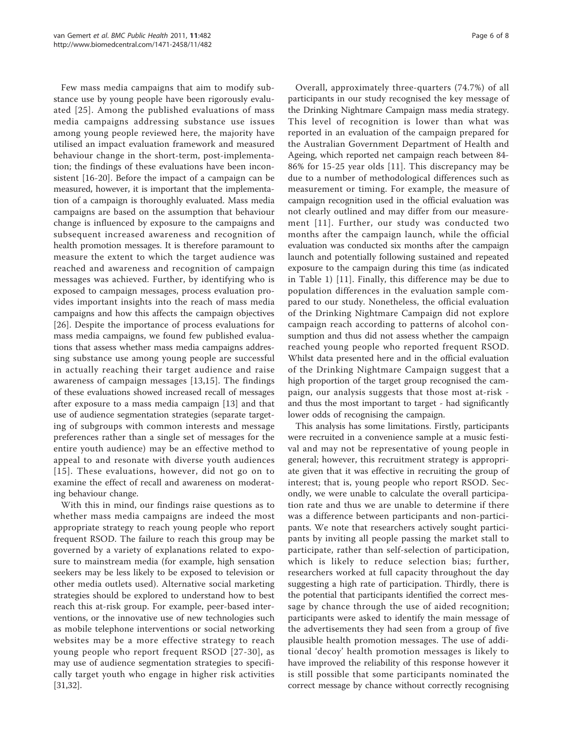Few mass media campaigns that aim to modify substance use by young people have been rigorously evaluated [[25](#page-7-0)]. Among the published evaluations of mass media campaigns addressing substance use issues among young people reviewed here, the majority have utilised an impact evaluation framework and measured behaviour change in the short-term, post-implementation; the findings of these evaluations have been inconsistent [\[16](#page-6-0)-[20\]](#page-7-0). Before the impact of a campaign can be measured, however, it is important that the implementation of a campaign is thoroughly evaluated. Mass media campaigns are based on the assumption that behaviour change is influenced by exposure to the campaigns and subsequent increased awareness and recognition of health promotion messages. It is therefore paramount to measure the extent to which the target audience was reached and awareness and recognition of campaign messages was achieved. Further, by identifying who is exposed to campaign messages, process evaluation provides important insights into the reach of mass media campaigns and how this affects the campaign objectives [[26](#page-7-0)]. Despite the importance of process evaluations for mass media campaigns, we found few published evaluations that assess whether mass media campaigns addressing substance use among young people are successful in actually reaching their target audience and raise awareness of campaign messages [[13,15](#page-6-0)]. The findings of these evaluations showed increased recall of messages after exposure to a mass media campaign [[13\]](#page-6-0) and that use of audience segmentation strategies (separate targeting of subgroups with common interests and message preferences rather than a single set of messages for the entire youth audience) may be an effective method to appeal to and resonate with diverse youth audiences [[15](#page-6-0)]. These evaluations, however, did not go on to examine the effect of recall and awareness on moderating behaviour change.

With this in mind, our findings raise questions as to whether mass media campaigns are indeed the most appropriate strategy to reach young people who report frequent RSOD. The failure to reach this group may be governed by a variety of explanations related to exposure to mainstream media (for example, high sensation seekers may be less likely to be exposed to television or other media outlets used). Alternative social marketing strategies should be explored to understand how to best reach this at-risk group. For example, peer-based interventions, or the innovative use of new technologies such as mobile telephone interventions or social networking websites may be a more effective strategy to reach young people who report frequent RSOD [[27-30](#page-7-0)], as may use of audience segmentation strategies to specifically target youth who engage in higher risk activities [[31,32\]](#page-7-0).

Overall, approximately three-quarters (74.7%) of all participants in our study recognised the key message of the Drinking Nightmare Campaign mass media strategy. This level of recognition is lower than what was reported in an evaluation of the campaign prepared for the Australian Government Department of Health and Ageing, which reported net campaign reach between 84- 86% for 15-25 year olds [\[11\]](#page-6-0). This discrepancy may be due to a number of methodological differences such as measurement or timing. For example, the measure of campaign recognition used in the official evaluation was not clearly outlined and may differ from our measurement [[11](#page-6-0)]. Further, our study was conducted two months after the campaign launch, while the official evaluation was conducted six months after the campaign launch and potentially following sustained and repeated exposure to the campaign during this time (as indicated in Table [1\)](#page-1-0) [[11](#page-6-0)]. Finally, this difference may be due to population differences in the evaluation sample compared to our study. Nonetheless, the official evaluation of the Drinking Nightmare Campaign did not explore campaign reach according to patterns of alcohol consumption and thus did not assess whether the campaign reached young people who reported frequent RSOD. Whilst data presented here and in the official evaluation of the Drinking Nightmare Campaign suggest that a high proportion of the target group recognised the campaign, our analysis suggests that those most at-risk and thus the most important to target - had significantly lower odds of recognising the campaign.

This analysis has some limitations. Firstly, participants were recruited in a convenience sample at a music festival and may not be representative of young people in general; however, this recruitment strategy is appropriate given that it was effective in recruiting the group of interest; that is, young people who report RSOD. Secondly, we were unable to calculate the overall participation rate and thus we are unable to determine if there was a difference between participants and non-participants. We note that researchers actively sought participants by inviting all people passing the market stall to participate, rather than self-selection of participation, which is likely to reduce selection bias; further, researchers worked at full capacity throughout the day suggesting a high rate of participation. Thirdly, there is the potential that participants identified the correct message by chance through the use of aided recognition; participants were asked to identify the main message of the advertisements they had seen from a group of five plausible health promotion messages. The use of additional 'decoy' health promotion messages is likely to have improved the reliability of this response however it is still possible that some participants nominated the correct message by chance without correctly recognising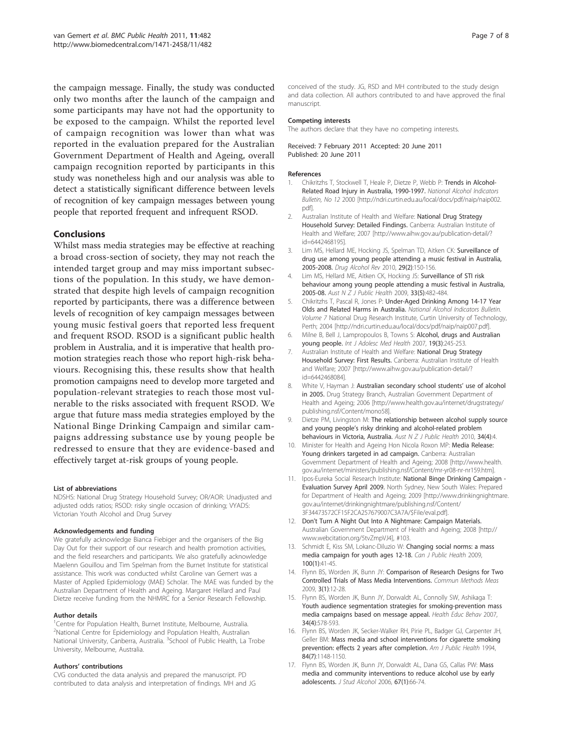<span id="page-6-0"></span>the campaign message. Finally, the study was conducted only two months after the launch of the campaign and some participants may have not had the opportunity to be exposed to the campaign. Whilst the reported level of campaign recognition was lower than what was reported in the evaluation prepared for the Australian Government Department of Health and Ageing, overall campaign recognition reported by participants in this study was nonetheless high and our analysis was able to detect a statistically significant difference between levels of recognition of key campaign messages between young people that reported frequent and infrequent RSOD.

### Conclusions

Whilst mass media strategies may be effective at reaching a broad cross-section of society, they may not reach the intended target group and may miss important subsections of the population. In this study, we have demonstrated that despite high levels of campaign recognition reported by participants, there was a difference between levels of recognition of key campaign messages between young music festival goers that reported less frequent and frequent RSOD. RSOD is a significant public health problem in Australia, and it is imperative that health promotion strategies reach those who report high-risk behaviours. Recognising this, these results show that health promotion campaigns need to develop more targeted and population-relevant strategies to reach those most vulnerable to the risks associated with frequent RSOD. We argue that future mass media strategies employed by the National Binge Drinking Campaign and similar campaigns addressing substance use by young people be redressed to ensure that they are evidence-based and effectively target at-risk groups of young people.

#### List of abbreviations

NDSHS: National Drug Strategy Household Survey; OR/AOR: Unadjusted and adjusted odds ratios; RSOD: risky single occasion of drinking; VYADS: Victorian Youth Alcohol and Drug Survey

#### Acknowledgements and funding

We gratefully acknowledge Bianca Fiebiger and the organisers of the Big Day Out for their support of our research and health promotion activities, and the field researchers and participants. We also gratefully acknowledge Maelenn Gouillou and Tim Spelman from the Burnet Institute for statistical assistance. This work was conducted whilst Caroline van Gemert was a Master of Applied Epidemiology (MAE) Scholar. The MAE was funded by the Australian Department of Health and Ageing. Margaret Hellard and Paul Dietze receive funding from the NHMRC for a Senior Research Fellowship.

#### Author details

<sup>1</sup>Centre for Population Health, Burnet Institute, Melbourne, Australia. <sup>2</sup>National Centre for Epidemiology and Population Health, Australian National University, Canberra, Australia. <sup>3</sup>School of Public Health, La Trobe University, Melbourne, Australia.

#### Authors' contributions

CVG conducted the data analysis and prepared the manuscript. PD contributed to data analysis and interpretation of findings. MH and JG

#### Competing interests

The authors declare that they have no competing interests.

#### Received: 7 February 2011 Accepted: 20 June 2011 Published: 20 June 2011

#### References

- 1. Chikritzhs T, Stockwell T, Heale P, Dietze P, Webb P: Trends in Alcohol-Related Road Injury in Australia, 1990-1997. National Alcohol Indicators Bulletin, No 12 2000 [[http://ndri.curtin.edu.au/local/docs/pdf/naip/naip002.](http://ndri.curtin.edu.au/local/docs/pdf/naip/naip002.pdf) [pdf](http://ndri.curtin.edu.au/local/docs/pdf/naip/naip002.pdf)].
- 2. Australian Institute of Health and Welfare: National Drug Strategy Household Survey: Detailed Findings. Canberra: Australian Institute of Health and Welfare; 2007 [\[http://www.aihw.gov.au/publication-detail/?](http://www.aihw.gov.au/publication-detail/?id=6442468195) [id=6442468195](http://www.aihw.gov.au/publication-detail/?id=6442468195)].
- 3. Lim MS, Hellard ME, Hocking JS, Spelman TD, Aitken CK: [Surveillance of](http://www.ncbi.nlm.nih.gov/pubmed/20447222?dopt=Abstract) [drug use among young people attending a music festival in Australia,](http://www.ncbi.nlm.nih.gov/pubmed/20447222?dopt=Abstract) [2005-2008.](http://www.ncbi.nlm.nih.gov/pubmed/20447222?dopt=Abstract) Drug Alcohol Rev 2010, 29(2):150-156.
- 4. Lim MS, Hellard ME, Aitken CK, Hocking JS: [Surveillance of STI risk](http://www.ncbi.nlm.nih.gov/pubmed/19811488?dopt=Abstract) [behaviour among young people attending a music festival in Australia,](http://www.ncbi.nlm.nih.gov/pubmed/19811488?dopt=Abstract) [2005-08.](http://www.ncbi.nlm.nih.gov/pubmed/19811488?dopt=Abstract) Aust N Z J Public Health 2009, 33(5):482-484.
- 5. Chikritzhs T, Pascal R, Jones P: Under-Aged Drinking Among 14-17 Year Olds and Related Harms in Australia. National Alcohol Indicators Bulletin. Volume 7 National Drug Research Institute, Curtin University of Technology, Perth; 2004 [<http://ndri.curtin.edu.au/local/docs/pdf/naip/naip007.pdf>].
- 6. Milne B, Bell J, Lampropoulos B, Towns S: [Alcohol, drugs and Australian](http://www.ncbi.nlm.nih.gov/pubmed/17937140?dopt=Abstract) [young people.](http://www.ncbi.nlm.nih.gov/pubmed/17937140?dopt=Abstract) Int J Adolesc Med Health 2007, 19(3):245-253.
- 7. Australian Institute of Health and Welfare: National Drug Strategy Household Survey: First Results. Canberra: Australian Institute of Health and Welfare; 2007 [\[http://www.aihw.gov.au/publication-detail/?](http://www.aihw.gov.au/publication-detail/?id=6442468084) [id=6442468084](http://www.aihw.gov.au/publication-detail/?id=6442468084)].
- 8. White V, Hayman J: Australian secondary school students' use of alcohol in 2005. Drug Strategy Branch, Australian Government Department of Health and Ageing; 2006 [\[http://www.health.gov.au/internet/drugstrategy/](http://www.health.gov.au/internet/drugstrategy/publishing.nsf/Content/mono58) [publishing.nsf/Content/mono58\]](http://www.health.gov.au/internet/drugstrategy/publishing.nsf/Content/mono58).
- 9. Dietze PM, Livingston M: [The relationship between alcohol supply source](http://www.ncbi.nlm.nih.gov/pubmed/20649775?dopt=Abstract) and young people'[s risky drinking and alcohol-related problem](http://www.ncbi.nlm.nih.gov/pubmed/20649775?dopt=Abstract) [behaviours in Victoria, Australia.](http://www.ncbi.nlm.nih.gov/pubmed/20649775?dopt=Abstract) Aust N Z J Public Health 2010, 34(4):4.
- 10. Minister for Health and Ageing Hon Nicola Roxon MP: Media Release: Young drinkers targeted in ad campaign. Canberra: Australian Government Department of Health and Ageing; 2008 [\[http://www.health.](http://www.health.gov.au/internet/ministers/publishing.nsf/Content/mr-yr08-nr-nr159.htm) [gov.au/internet/ministers/publishing.nsf/Content/mr-yr08-nr-nr159.htm](http://www.health.gov.au/internet/ministers/publishing.nsf/Content/mr-yr08-nr-nr159.htm)].
- 11. Ipos-Eureka Social Research Institute: National Binge Drinking Campaign -Evaluation Survey April 2009. North Sydney, New South Wales: Prepared for Department of Health and Ageing; 2009 [\[http://www.drinkingnightmare.](http://www.drinkingnightmare.gov.au/internet/drinkingnightmare/publishing.nsf/Content/3F34473572CF15F2CA257679007C3A7A/$File/eval.pdf) [gov.au/internet/drinkingnightmare/publishing.nsf/Content/](http://www.drinkingnightmare.gov.au/internet/drinkingnightmare/publishing.nsf/Content/3F34473572CF15F2CA257679007C3A7A/$File/eval.pdf) [3F34473572CF15F2CA257679007C3A7A/\\$File/eval.pdf\]](http://www.drinkingnightmare.gov.au/internet/drinkingnightmare/publishing.nsf/Content/3F34473572CF15F2CA257679007C3A7A/$File/eval.pdf).
- 12. Don't Turn A Night Out Into A Nightmare: Campaign Materials. Australian Government Department of Health and Ageing; 2008 [\[http://](http://www.webcitation.org/5tvZmpVJ4) [www.webcitation.org/5tvZmpVJ4](http://www.webcitation.org/5tvZmpVJ4)], #103.
- 13. Schmidt E, Kiss SM, Lokanc-Diluzio W: [Changing social norms: a mass](http://www.ncbi.nlm.nih.gov/pubmed/19263982?dopt=Abstract) [media campaign for youth ages 12-18.](http://www.ncbi.nlm.nih.gov/pubmed/19263982?dopt=Abstract) Can J Public Health 2009, 100(1):41-45.
- 14. Flynn BS, Worden JK, Bunn JY: [Comparison of Research Designs for Two](http://www.ncbi.nlm.nih.gov/pubmed/20046992?dopt=Abstract) [Controlled Trials of Mass Media Interventions.](http://www.ncbi.nlm.nih.gov/pubmed/20046992?dopt=Abstract) Commun Methods Meas 2009, 3(1):12-28.
- 15. Flynn BS, Worden JK, Bunn JY, Dorwaldt AL, Connolly SW, Ashikaga T: [Youth audience segmentation strategies for smoking-prevention mass](http://www.ncbi.nlm.nih.gov/pubmed/17507689?dopt=Abstract) [media campaigns based on message appeal.](http://www.ncbi.nlm.nih.gov/pubmed/17507689?dopt=Abstract) Health Educ Behav 2007, 34(4):578-593.
- 16. Flynn BS, Worden JK, Secker-Walker RH, Pirie PL, Badger GJ, Carpenter JH, Geller BM: [Mass media and school interventions for cigarette smoking](http://www.ncbi.nlm.nih.gov/pubmed/8017542?dopt=Abstract) prevention: effects [2 years after completion.](http://www.ncbi.nlm.nih.gov/pubmed/8017542?dopt=Abstract) Am J Public Health 1994, 84(7):1148-1150.
- 17. Flynn BS, Worden JK, Bunn JY, Dorwaldt AL, Dana GS, Callas PW: [Mass](http://www.ncbi.nlm.nih.gov/pubmed/16536130?dopt=Abstract) [media and community interventions to reduce alcohol use by early](http://www.ncbi.nlm.nih.gov/pubmed/16536130?dopt=Abstract) [adolescents.](http://www.ncbi.nlm.nih.gov/pubmed/16536130?dopt=Abstract) J Stud Alcohol 2006, 67(1):66-74.